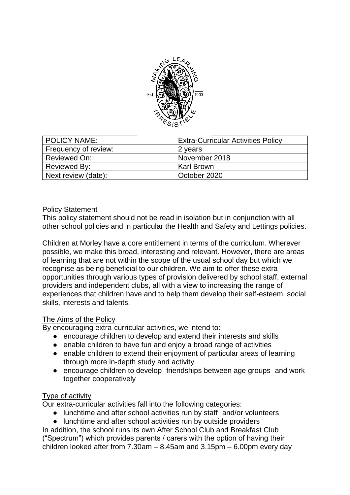

| <b>POLICY NAME:</b>  | <b>Extra-Curricular Activities Policy</b> |
|----------------------|-------------------------------------------|
| Frequency of review: | 2 years                                   |
| Reviewed On:         | November 2018                             |
| Reviewed By:         | <b>Karl Brown</b>                         |
| Next review (date):  | October 2020                              |

## Policy Statement

This policy statement should not be read in isolation but in conjunction with all other school policies and in particular the Health and Safety and Lettings policies.

Children at Morley have a core entitlement in terms of the curriculum. Wherever possible, we make this broad, interesting and relevant. However, there are areas of learning that are not within the scope of the usual school day but which we recognise as being beneficial to our children. We aim to offer these extra opportunities through various types of provision delivered by school staff, external providers and independent clubs, all with a view to increasing the range of experiences that children have and to help them develop their self-esteem, social skills, interests and talents.

## The Aims of the Policy

By encouraging extra-curricular activities, we intend to:

- encourage children to develop and extend their interests and skills
- enable children to have fun and enjoy a broad range of activities
- enable children to extend their enjoyment of particular areas of learning through more in-depth study and activity
- encourage children to develop friendships between age groups and work together cooperatively

## Type of activity

Our extra-curricular activities fall into the following categories:

- lunchtime and after school activities run by staff and/or volunteers
- lunchtime and after school activities run by outside providers

In addition, the school runs its own After School Club and Breakfast Club ("Spectrum") which provides parents / carers with the option of having their children looked after from 7.30am – 8.45am and 3.15pm – 6.00pm every day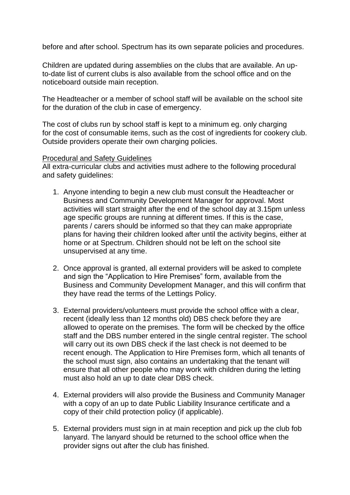before and after school. Spectrum has its own separate policies and procedures.

Children are updated during assemblies on the clubs that are available. An upto-date list of current clubs is also available from the school office and on the noticeboard outside main reception.

The Headteacher or a member of school staff will be available on the school site for the duration of the club in case of emergency.

The cost of clubs run by school staff is kept to a minimum eg. only charging for the cost of consumable items, such as the cost of ingredients for cookery club. Outside providers operate their own charging policies.

#### Procedural and Safety Guidelines

All extra-curricular clubs and activities must adhere to the following procedural and safety guidelines:

- 1. Anyone intending to begin a new club must consult the Headteacher or Business and Community Development Manager for approval. Most activities will start straight after the end of the school day at 3.15pm unless age specific groups are running at different times. If this is the case, parents / carers should be informed so that they can make appropriate plans for having their children looked after until the activity begins, either at home or at Spectrum. Children should not be left on the school site unsupervised at any time.
- 2. Once approval is granted, all external providers will be asked to complete and sign the "Application to Hire Premises" form, available from the Business and Community Development Manager, and this will confirm that they have read the terms of the Lettings Policy.
- 3. External providers/volunteers must provide the school office with a clear, recent (ideally less than 12 months old) DBS check before they are allowed to operate on the premises. The form will be checked by the office staff and the DBS number entered in the single central register. The school will carry out its own DBS check if the last check is not deemed to be recent enough. The Application to Hire Premises form, which all tenants of the school must sign, also contains an undertaking that the tenant will ensure that all other people who may work with children during the letting must also hold an up to date clear DBS check.
- 4. External providers will also provide the Business and Community Manager with a copy of an up to date Public Liability Insurance certificate and a copy of their child protection policy (if applicable).
- 5. External providers must sign in at main reception and pick up the club fob lanyard. The lanyard should be returned to the school office when the provider signs out after the club has finished.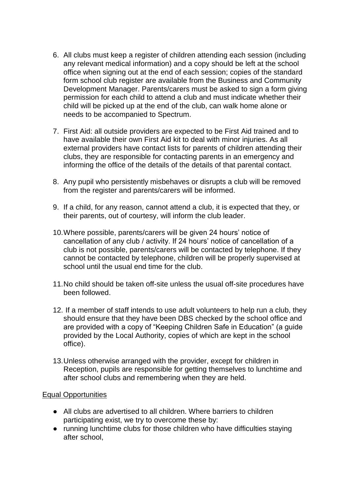- 6. All clubs must keep a register of children attending each session (including any relevant medical information) and a copy should be left at the school office when signing out at the end of each session; copies of the standard form school club register are available from the Business and Community Development Manager. Parents/carers must be asked to sign a form giving permission for each child to attend a club and must indicate whether their child will be picked up at the end of the club, can walk home alone or needs to be accompanied to Spectrum.
- 7. First Aid: all outside providers are expected to be First Aid trained and to have available their own First Aid kit to deal with minor injuries. As all external providers have contact lists for parents of children attending their clubs, they are responsible for contacting parents in an emergency and informing the office of the details of the details of that parental contact.
- 8. Any pupil who persistently misbehaves or disrupts a club will be removed from the register and parents/carers will be informed.
- 9. If a child, for any reason, cannot attend a club, it is expected that they, or their parents, out of courtesy, will inform the club leader.
- 10.Where possible, parents/carers will be given 24 hours' notice of cancellation of any club / activity. If 24 hours' notice of cancellation of a club is not possible, parents/carers will be contacted by telephone. If they cannot be contacted by telephone, children will be properly supervised at school until the usual end time for the club.
- 11.No child should be taken off-site unless the usual off-site procedures have been followed.
- 12. If a member of staff intends to use adult volunteers to help run a club, they should ensure that they have been DBS checked by the school office and are provided with a copy of "Keeping Children Safe in Education" (a guide provided by the Local Authority, copies of which are kept in the school office).
- 13.Unless otherwise arranged with the provider, except for children in Reception, pupils are responsible for getting themselves to lunchtime and after school clubs and remembering when they are held.

## Equal Opportunities

- All clubs are advertised to all children. Where barriers to children participating exist, we try to overcome these by:
- running lunchtime clubs for those children who have difficulties staying after school,